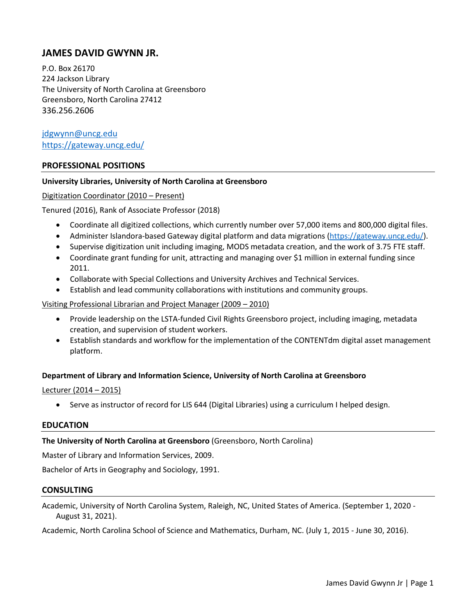# **JAMES DAVID GWYNN JR.**

P.O. Box 26170 224 Jackson Library The University of North Carolina at Greensboro Greensboro, North Carolina 27412 336.256.2606

[jdgwynn@uncg.edu](mailto:jdgwynn@uncg.edu) <https://gateway.uncg.edu/>

#### **PROFESSIONAL POSITIONS**

#### **University Libraries, University of North Carolina at Greensboro**

#### Digitization Coordinator (2010 – Present)

Tenured (2016), Rank of Associate Professor (2018)

- Coordinate all digitized collections, which currently number over 57,000 items and 800,000 digital files.
- Administer Islandora-based Gateway digital platform and data migrations [\(https://gateway.uncg.edu/\)](https://gateway.uncg.edu/).
- Supervise digitization unit including imaging, MODS metadata creation, and the work of 3.75 FTE staff.
- Coordinate grant funding for unit, attracting and managing over \$1 million in external funding since 2011.
- Collaborate with Special Collections and University Archives and Technical Services.
- Establish and lead community collaborations with institutions and community groups.

Visiting Professional Librarian and Project Manager (2009 – 2010)

- Provide leadership on the LSTA-funded Civil Rights Greensboro project, including imaging, metadata creation, and supervision of student workers.
- Establish standards and workflow for the implementation of the CONTENTdm digital asset management platform.

#### **Department of Library and Information Science, University of North Carolina at Greensboro**

#### Lecturer (2014 – 2015)

• Serve as instructor of record for LIS 644 (Digital Libraries) using a curriculum I helped design.

#### **EDUCATION**

# **The University of North Carolina at Greensboro** (Greensboro, North Carolina)

Master of Library and Information Services, 2009.

Bachelor of Arts in Geography and Sociology, 1991.

# **CONSULTING**

Academic, University of North Carolina System, Raleigh, NC, United States of America. (September 1, 2020 - August 31, 2021).

Academic, North Carolina School of Science and Mathematics, Durham, NC. (July 1, 2015 - June 30, 2016).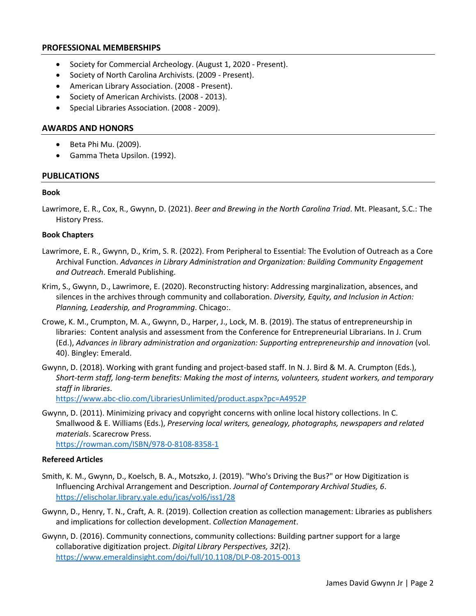#### **PROFESSIONAL MEMBERSHIPS**

- Society for Commercial Archeology. (August 1, 2020 Present).
- Society of North Carolina Archivists. (2009 Present).
- American Library Association. (2008 Present).
- Society of American Archivists. (2008 2013).
- Special Libraries Association. (2008 2009).

# **AWARDS AND HONORS**

- Beta Phi Mu. (2009).
- Gamma Theta Upsilon. (1992).

# **PUBLICATIONS**

#### **Book**

Lawrimore, E. R., Cox, R., Gwynn, D. (2021). *Beer and Brewing in the North Carolina Triad*. Mt. Pleasant, S.C.: The History Press.

# **Book Chapters**

- Lawrimore, E. R., Gwynn, D., Krim, S. R. (2022). From Peripheral to Essential: The Evolution of Outreach as a Core Archival Function. *Advances in Library Administration and Organization: Building Community Engagement and Outreach*. Emerald Publishing.
- Krim, S., Gwynn, D., Lawrimore, E. (2020). Reconstructing history: Addressing marginalization, absences, and silences in the archives through community and collaboration. *Diversity, Equity, and Inclusion in Action: Planning, Leadership, and Programming*. Chicago:.
- Crowe, K. M., Crumpton, M. A., Gwynn, D., Harper, J., Lock, M. B. (2019). The status of entrepreneurship in libraries: Content analysis and assessment from the Conference for Entrepreneurial Librarians. In J. Crum (Ed.), *Advances in library administration and organization: Supporting entrepreneurship and innovation* (vol. 40). Bingley: Emerald.
- Gwynn, D. (2018). Working with grant funding and project-based staff. In N. J. Bird & M. A. Crumpton (Eds.), *Short-term staff, long-term benefits: Making the most of interns, volunteers, student workers, and temporary staff in libraries*.

<https://www.abc-clio.com/LibrariesUnlimited/product.aspx?pc=A4952P>

Gwynn, D. (2011). Minimizing privacy and copyright concerns with online local history collections. In C. Smallwood & E. Williams (Eds.), *Preserving local writers, genealogy, photographs, newspapers and related materials*. Scarecrow Press.

<https://rowman.com/ISBN/978-0-8108-8358-1>

# **Refereed Articles**

- Smith, K. M., Gwynn, D., Koelsch, B. A., Motszko, J. (2019). "Who's Driving the Bus?" or How Digitization is Influencing Archival Arrangement and Description. *Journal of Contemporary Archival Studies, 6*. <https://elischolar.library.yale.edu/jcas/vol6/iss1/28>
- Gwynn, D., Henry, T. N., Craft, A. R. (2019). Collection creation as collection management: Libraries as publishers and implications for collection development. *Collection Management*.
- Gwynn, D. (2016). Community connections, community collections: Building partner support for a large collaborative digitization project. *Digital Library Perspectives, 32*(2). <https://www.emeraldinsight.com/doi/full/10.1108/DLP-08-2015-0013>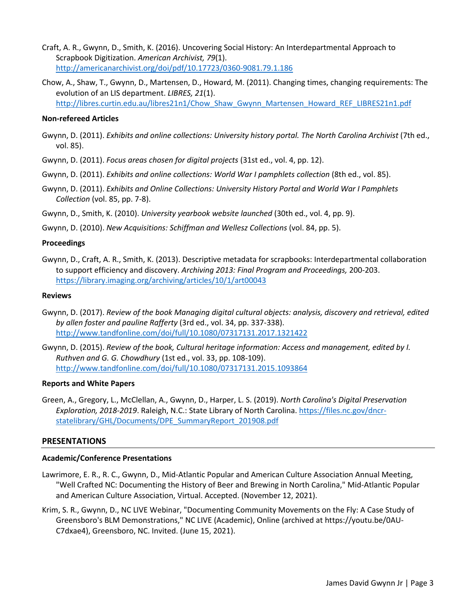- Craft, A. R., Gwynn, D., Smith, K. (2016). Uncovering Social History: An Interdepartmental Approach to Scrapbook Digitization. *American Archivist, 79*(1). <http://americanarchivist.org/doi/pdf/10.17723/0360-9081.79.1.186>
- Chow, A., Shaw, T., Gwynn, D., Martensen, D., Howard, M. (2011). Changing times, changing requirements: The evolution of an LIS department. *LIBRES, 21*(1). [http://libres.curtin.edu.au/libres21n1/Chow\\_Shaw\\_Gwynn\\_Martensen\\_Howard\\_REF\\_LIBRES21n1.pdf](http://libres.curtin.edu.au/libres21n1/Chow_Shaw_Gwynn_Martensen_Howard_REF_LIBRES21n1.pdf)

#### **Non-refereed Articles**

- Gwynn, D. (2011). *Exhibits and online collections: University history portal. The North Carolina Archivist* (7th ed., vol. 85).
- Gwynn, D. (2011). *Focus areas chosen for digital projects* (31st ed., vol. 4, pp. 12).
- Gwynn, D. (2011). *Exhibits and online collections: World War I pamphlets collection* (8th ed., vol. 85).
- Gwynn, D. (2011). *Exhibits and Online Collections: University History Portal and World War I Pamphlets Collection* (vol. 85, pp. 7-8).
- Gwynn, D., Smith, K. (2010). *University yearbook website launched* (30th ed., vol. 4, pp. 9).
- Gwynn, D. (2010). *New Acquisitions: Schiffman and Wellesz Collections* (vol. 84, pp. 5).

#### **Proceedings**

Gwynn, D., Craft, A. R., Smith, K. (2013). Descriptive metadata for scrapbooks: Interdepartmental collaboration to support efficiency and discovery. *Archiving 2013: Final Program and Proceedings,* 200-203. <https://library.imaging.org/archiving/articles/10/1/art00043>

#### **Reviews**

- Gwynn, D. (2017). *Review of the book Managing digital cultural objects: analysis, discovery and retrieval, edited by allen foster and pauline Rafferty* (3rd ed., vol. 34, pp. 337-338). <http://www.tandfonline.com/doi/full/10.1080/07317131.2017.1321422>
- Gwynn, D. (2015). *Review of the book, Cultural heritage information: Access and management, edited by I. Ruthven and G. G. Chowdhury* (1st ed., vol. 33, pp. 108-109). <http://www.tandfonline.com/doi/full/10.1080/07317131.2015.1093864>

#### **Reports and White Papers**

Green, A., Gregory, L., McClellan, A., Gwynn, D., Harper, L. S. (2019). *North Carolina's Digital Preservation Exploration, 2018-2019*. Raleigh, N.C.: State Library of North Carolina[. https://files.nc.gov/dncr](https://files.nc.gov/dncr-statelibrary/GHL/Documents/DPE_SummaryReport_201908.pdf)[statelibrary/GHL/Documents/DPE\\_SummaryReport\\_201908.pdf](https://files.nc.gov/dncr-statelibrary/GHL/Documents/DPE_SummaryReport_201908.pdf) 

#### **PRESENTATIONS**

#### **Academic/Conference Presentations**

- Lawrimore, E. R., R. C., Gwynn, D., Mid-Atlantic Popular and American Culture Association Annual Meeting, "Well Crafted NC: Documenting the History of Beer and Brewing in North Carolina," Mid-Atlantic Popular and American Culture Association, Virtual. Accepted. (November 12, 2021).
- Krim, S. R., Gwynn, D., NC LIVE Webinar, "Documenting Community Movements on the Fly: A Case Study of Greensboro's BLM Demonstrations," NC LIVE (Academic), Online (archived at https://youtu.be/0AU-C7dxae4), Greensboro, NC. Invited. (June 15, 2021).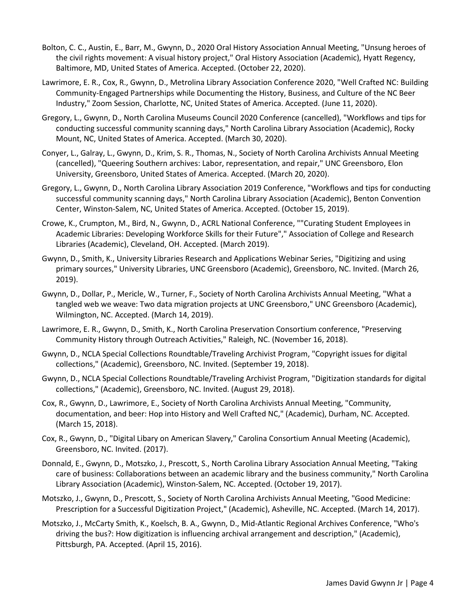- Bolton, C. C., Austin, E., Barr, M., Gwynn, D., 2020 Oral History Association Annual Meeting, "Unsung heroes of the civil rights movement: A visual history project," Oral History Association (Academic), Hyatt Regency, Baltimore, MD, United States of America. Accepted. (October 22, 2020).
- Lawrimore, E. R., Cox, R., Gwynn, D., Metrolina Library Association Conference 2020, "Well Crafted NC: Building Community-Engaged Partnerships while Documenting the History, Business, and Culture of the NC Beer Industry," Zoom Session, Charlotte, NC, United States of America. Accepted. (June 11, 2020).
- Gregory, L., Gwynn, D., North Carolina Museums Council 2020 Conference (cancelled), "Workflows and tips for conducting successful community scanning days," North Carolina Library Association (Academic), Rocky Mount, NC, United States of America. Accepted. (March 30, 2020).
- Conyer, L., Galray, L., Gwynn, D., Krim, S. R., Thomas, N., Society of North Carolina Archivists Annual Meeting (cancelled), "Queering Southern archives: Labor, representation, and repair," UNC Greensboro, Elon University, Greensboro, United States of America. Accepted. (March 20, 2020).
- Gregory, L., Gwynn, D., North Carolina Library Association 2019 Conference, "Workflows and tips for conducting successful community scanning days," North Carolina Library Association (Academic), Benton Convention Center, Winston-Salem, NC, United States of America. Accepted. (October 15, 2019).
- Crowe, K., Crumpton, M., Bird, N., Gwynn, D., ACRL National Conference, ""Curating Student Employees in Academic Libraries: Developing Workforce Skills for their Future"," Association of College and Research Libraries (Academic), Cleveland, OH. Accepted. (March 2019).
- Gwynn, D., Smith, K., University Libraries Research and Applications Webinar Series, "Digitizing and using primary sources," University Libraries, UNC Greensboro (Academic), Greensboro, NC. Invited. (March 26, 2019).
- Gwynn, D., Dollar, P., Mericle, W., Turner, F., Society of North Carolina Archivists Annual Meeting, "What a tangled web we weave: Two data migration projects at UNC Greensboro," UNC Greensboro (Academic), Wilmington, NC. Accepted. (March 14, 2019).
- Lawrimore, E. R., Gwynn, D., Smith, K., North Carolina Preservation Consortium conference, "Preserving Community History through Outreach Activities," Raleigh, NC. (November 16, 2018).
- Gwynn, D., NCLA Special Collections Roundtable/Traveling Archivist Program, "Copyright issues for digital collections," (Academic), Greensboro, NC. Invited. (September 19, 2018).
- Gwynn, D., NCLA Special Collections Roundtable/Traveling Archivist Program, "Digitization standards for digital collections," (Academic), Greensboro, NC. Invited. (August 29, 2018).
- Cox, R., Gwynn, D., Lawrimore, E., Society of North Carolina Archivists Annual Meeting, "Community, documentation, and beer: Hop into History and Well Crafted NC," (Academic), Durham, NC. Accepted. (March 15, 2018).
- Cox, R., Gwynn, D., "Digital Libary on American Slavery," Carolina Consortium Annual Meeting (Academic), Greensboro, NC. Invited. (2017).
- Donnald, E., Gwynn, D., Motszko, J., Prescott, S., North Carolina Library Association Annual Meeting, "Taking care of business: Collaborations between an academic library and the business community," North Carolina Library Association (Academic), Winston-Salem, NC. Accepted. (October 19, 2017).
- Motszko, J., Gwynn, D., Prescott, S., Society of North Carolina Archivists Annual Meeting, "Good Medicine: Prescription for a Successful Digitization Project," (Academic), Asheville, NC. Accepted. (March 14, 2017).
- Motszko, J., McCarty Smith, K., Koelsch, B. A., Gwynn, D., Mid-Atlantic Regional Archives Conference, "Who's driving the bus?: How digitization is influencing archival arrangement and description," (Academic), Pittsburgh, PA. Accepted. (April 15, 2016).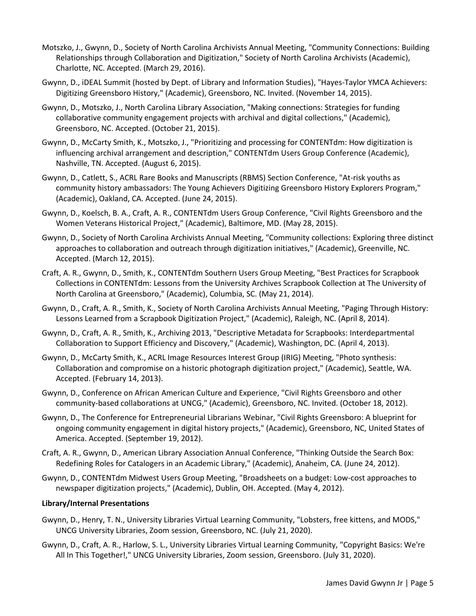- Motszko, J., Gwynn, D., Society of North Carolina Archivists Annual Meeting, "Community Connections: Building Relationships through Collaboration and Digitization," Society of North Carolina Archivists (Academic), Charlotte, NC. Accepted. (March 29, 2016).
- Gwynn, D., iDEAL Summit (hosted by Dept. of Library and Information Studies), "Hayes-Taylor YMCA Achievers: Digitizing Greensboro History," (Academic), Greensboro, NC. Invited. (November 14, 2015).
- Gwynn, D., Motszko, J., North Carolina Library Association, "Making connections: Strategies for funding collaborative community engagement projects with archival and digital collections," (Academic), Greensboro, NC. Accepted. (October 21, 2015).
- Gwynn, D., McCarty Smith, K., Motszko, J., "Prioritizing and processing for CONTENTdm: How digitization is influencing archival arrangement and description," CONTENTdm Users Group Conference (Academic), Nashville, TN. Accepted. (August 6, 2015).
- Gwynn, D., Catlett, S., ACRL Rare Books and Manuscripts (RBMS) Section Conference, "At-risk youths as community history ambassadors: The Young Achievers Digitizing Greensboro History Explorers Program," (Academic), Oakland, CA. Accepted. (June 24, 2015).
- Gwynn, D., Koelsch, B. A., Craft, A. R., CONTENTdm Users Group Conference, "Civil Rights Greensboro and the Women Veterans Historical Project," (Academic), Baltimore, MD. (May 28, 2015).
- Gwynn, D., Society of North Carolina Archivists Annual Meeting, "Community collections: Exploring three distinct approaches to collaboration and outreach through digitization initiatives," (Academic), Greenville, NC. Accepted. (March 12, 2015).
- Craft, A. R., Gwynn, D., Smith, K., CONTENTdm Southern Users Group Meeting, "Best Practices for Scrapbook Collections in CONTENTdm: Lessons from the University Archives Scrapbook Collection at The University of North Carolina at Greensboro," (Academic), Columbia, SC. (May 21, 2014).
- Gwynn, D., Craft, A. R., Smith, K., Society of North Carolina Archivists Annual Meeting, "Paging Through History: Lessons Learned from a Scrapbook Digitization Project," (Academic), Raleigh, NC. (April 8, 2014).
- Gwynn, D., Craft, A. R., Smith, K., Archiving 2013, "Descriptive Metadata for Scrapbooks: Interdepartmental Collaboration to Support Efficiency and Discovery," (Academic), Washington, DC. (April 4, 2013).
- Gwynn, D., McCarty Smith, K., ACRL Image Resources Interest Group (IRIG) Meeting, "Photo synthesis: Collaboration and compromise on a historic photograph digitization project," (Academic), Seattle, WA. Accepted. (February 14, 2013).
- Gwynn, D., Conference on African American Culture and Experience, "Civil Rights Greensboro and other community-based collaborations at UNCG," (Academic), Greensboro, NC. Invited. (October 18, 2012).
- Gwynn, D., The Conference for Entrepreneurial Librarians Webinar, "Civil Rights Greensboro: A blueprint for ongoing community engagement in digital history projects," (Academic), Greensboro, NC, United States of America. Accepted. (September 19, 2012).
- Craft, A. R., Gwynn, D., American Library Association Annual Conference, "Thinking Outside the Search Box: Redefining Roles for Catalogers in an Academic Library," (Academic), Anaheim, CA. (June 24, 2012).
- Gwynn, D., CONTENTdm Midwest Users Group Meeting, "Broadsheets on a budget: Low-cost approaches to newspaper digitization projects," (Academic), Dublin, OH. Accepted. (May 4, 2012).

# **Library/Internal Presentations**

- Gwynn, D., Henry, T. N., University Libraries Virtual Learning Community, "Lobsters, free kittens, and MODS," UNCG University Libraries, Zoom session, Greensboro, NC. (July 21, 2020).
- Gwynn, D., Craft, A. R., Harlow, S. L., University Libraries Virtual Learning Community, "Copyright Basics: We're All In This Together!," UNCG University Libraries, Zoom session, Greensboro. (July 31, 2020).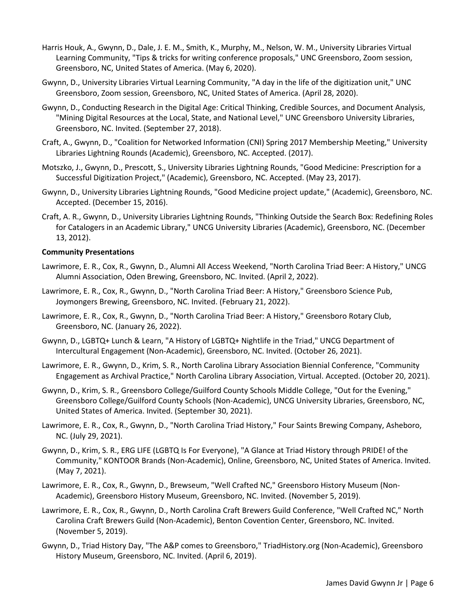- Harris Houk, A., Gwynn, D., Dale, J. E. M., Smith, K., Murphy, M., Nelson, W. M., University Libraries Virtual Learning Community, "Tips & tricks for writing conference proposals," UNC Greensboro, Zoom session, Greensboro, NC, United States of America. (May 6, 2020).
- Gwynn, D., University Libraries Virtual Learning Community, "A day in the life of the digitization unit," UNC Greensboro, Zoom session, Greensboro, NC, United States of America. (April 28, 2020).
- Gwynn, D., Conducting Research in the Digital Age: Critical Thinking, Credible Sources, and Document Analysis, "Mining Digital Resources at the Local, State, and National Level," UNC Greensboro University Libraries, Greensboro, NC. Invited. (September 27, 2018).
- Craft, A., Gwynn, D., "Coalition for Networked Information (CNI) Spring 2017 Membership Meeting," University Libraries Lightning Rounds (Academic), Greensboro, NC. Accepted. (2017).
- Motszko, J., Gwynn, D., Prescott, S., University Libraries Lightning Rounds, "Good Medicine: Prescription for a Successful Digitization Project," (Academic), Greensboro, NC. Accepted. (May 23, 2017).
- Gwynn, D., University Libraries Lightning Rounds, "Good Medicine project update," (Academic), Greensboro, NC. Accepted. (December 15, 2016).
- Craft, A. R., Gwynn, D., University Libraries Lightning Rounds, "Thinking Outside the Search Box: Redefining Roles for Catalogers in an Academic Library," UNCG University Libraries (Academic), Greensboro, NC. (December 13, 2012).

#### **Community Presentations**

- Lawrimore, E. R., Cox, R., Gwynn, D., Alumni All Access Weekend, "North Carolina Triad Beer: A History," UNCG Alumni Association, Oden Brewing, Greensboro, NC. Invited. (April 2, 2022).
- Lawrimore, E. R., Cox, R., Gwynn, D., "North Carolina Triad Beer: A History," Greensboro Science Pub, Joymongers Brewing, Greensboro, NC. Invited. (February 21, 2022).
- Lawrimore, E. R., Cox, R., Gwynn, D., "North Carolina Triad Beer: A History," Greensboro Rotary Club, Greensboro, NC. (January 26, 2022).
- Gwynn, D., LGBTQ+ Lunch & Learn, "A History of LGBTQ+ Nightlife in the Triad," UNCG Department of Intercultural Engagement (Non-Academic), Greensboro, NC. Invited. (October 26, 2021).
- Lawrimore, E. R., Gwynn, D., Krim, S. R., North Carolina Library Association Biennial Conference, "Community Engagement as Archival Practice," North Carolina Library Association, Virtual. Accepted. (October 20, 2021).
- Gwynn, D., Krim, S. R., Greensboro College/Guilford County Schools Middle College, "Out for the Evening," Greensboro College/Guilford County Schools (Non-Academic), UNCG University Libraries, Greensboro, NC, United States of America. Invited. (September 30, 2021).
- Lawrimore, E. R., Cox, R., Gwynn, D., "North Carolina Triad History," Four Saints Brewing Company, Asheboro, NC. (July 29, 2021).
- Gwynn, D., Krim, S. R., ERG LIFE (LGBTQ Is For Everyone), "A Glance at Triad History through PRIDE! of the Community," KONTOOR Brands (Non-Academic), Online, Greensboro, NC, United States of America. Invited. (May 7, 2021).
- Lawrimore, E. R., Cox, R., Gwynn, D., Brewseum, "Well Crafted NC," Greensboro History Museum (Non-Academic), Greensboro History Museum, Greensboro, NC. Invited. (November 5, 2019).
- Lawrimore, E. R., Cox, R., Gwynn, D., North Carolina Craft Brewers Guild Conference, "Well Crafted NC," North Carolina Craft Brewers Guild (Non-Academic), Benton Covention Center, Greensboro, NC. Invited. (November 5, 2019).
- Gwynn, D., Triad History Day, "The A&P comes to Greensboro," TriadHistory.org (Non-Academic), Greensboro History Museum, Greensboro, NC. Invited. (April 6, 2019).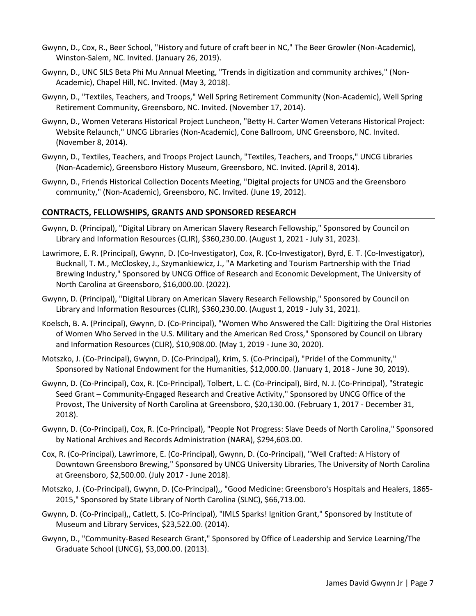- Gwynn, D., Cox, R., Beer School, "History and future of craft beer in NC," The Beer Growler (Non-Academic), Winston-Salem, NC. Invited. (January 26, 2019).
- Gwynn, D., UNC SILS Beta Phi Mu Annual Meeting, "Trends in digitization and community archives," (Non-Academic), Chapel Hill, NC. Invited. (May 3, 2018).
- Gwynn, D., "Textiles, Teachers, and Troops," Well Spring Retirement Community (Non-Academic), Well Spring Retirement Community, Greensboro, NC. Invited. (November 17, 2014).
- Gwynn, D., Women Veterans Historical Project Luncheon, "Betty H. Carter Women Veterans Historical Project: Website Relaunch," UNCG Libraries (Non-Academic), Cone Ballroom, UNC Greensboro, NC. Invited. (November 8, 2014).
- Gwynn, D., Textiles, Teachers, and Troops Project Launch, "Textiles, Teachers, and Troops," UNCG Libraries (Non-Academic), Greensboro History Museum, Greensboro, NC. Invited. (April 8, 2014).
- Gwynn, D., Friends Historical Collection Docents Meeting, "Digital projects for UNCG and the Greensboro community," (Non-Academic), Greensboro, NC. Invited. (June 19, 2012).

# **CONTRACTS, FELLOWSHIPS, GRANTS AND SPONSORED RESEARCH**

- Gwynn, D. (Principal), "Digital Library on American Slavery Research Fellowship," Sponsored by Council on Library and Information Resources (CLIR), \$360,230.00. (August 1, 2021 - July 31, 2023).
- Lawrimore, E. R. (Principal), Gwynn, D. (Co-Investigator), Cox, R. (Co-Investigator), Byrd, E. T. (Co-Investigator), Bucknall, T. M., McCloskey, J., Szymankiewicz, J., "A Marketing and Tourism Partnership with the Triad Brewing Industry," Sponsored by UNCG Office of Research and Economic Development, The University of North Carolina at Greensboro, \$16,000.00. (2022).
- Gwynn, D. (Principal), "Digital Library on American Slavery Research Fellowship," Sponsored by Council on Library and Information Resources (CLIR), \$360,230.00. (August 1, 2019 - July 31, 2021).
- Koelsch, B. A. (Principal), Gwynn, D. (Co-Principal), "Women Who Answered the Call: Digitizing the Oral Histories of Women Who Served in the U.S. Military and the American Red Cross," Sponsored by Council on Library and Information Resources (CLIR), \$10,908.00. (May 1, 2019 - June 30, 2020).
- Motszko, J. (Co-Principal), Gwynn, D. (Co-Principal), Krim, S. (Co-Principal), "Pride! of the Community," Sponsored by National Endowment for the Humanities, \$12,000.00. (January 1, 2018 - June 30, 2019).
- Gwynn, D. (Co-Principal), Cox, R. (Co-Principal), Tolbert, L. C. (Co-Principal), Bird, N. J. (Co-Principal), "Strategic Seed Grant – Community-Engaged Research and Creative Activity," Sponsored by UNCG Office of the Provost, The University of North Carolina at Greensboro, \$20,130.00. (February 1, 2017 - December 31, 2018).
- Gwynn, D. (Co-Principal), Cox, R. (Co-Principal), "People Not Progress: Slave Deeds of North Carolina," Sponsored by National Archives and Records Administration (NARA), \$294,603.00.
- Cox, R. (Co-Principal), Lawrimore, E. (Co-Principal), Gwynn, D. (Co-Principal), "Well Crafted: A History of Downtown Greensboro Brewing," Sponsored by UNCG University Libraries, The University of North Carolina at Greensboro, \$2,500.00. (July 2017 - June 2018).
- Motszko, J. (Co-Principal), Gwynn, D. (Co-Principal),, "Good Medicine: Greensboro's Hospitals and Healers, 1865- 2015," Sponsored by State Library of North Carolina (SLNC), \$66,713.00.
- Gwynn, D. (Co-Principal),, Catlett, S. (Co-Principal), "IMLS Sparks! Ignition Grant," Sponsored by Institute of Museum and Library Services, \$23,522.00. (2014).
- Gwynn, D., "Community-Based Research Grant," Sponsored by Office of Leadership and Service Learning/The Graduate School (UNCG), \$3,000.00. (2013).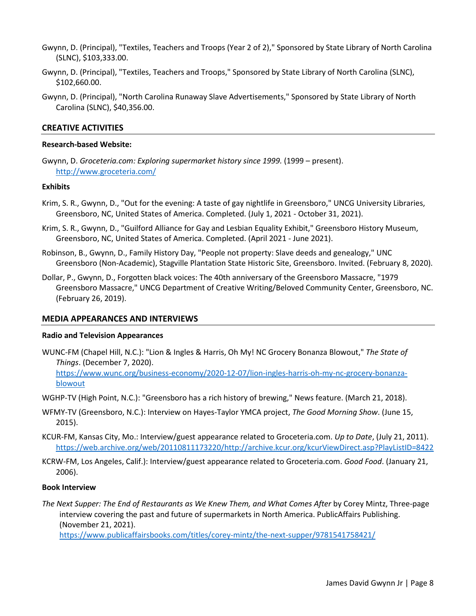- Gwynn, D. (Principal), "Textiles, Teachers and Troops (Year 2 of 2)," Sponsored by State Library of North Carolina (SLNC), \$103,333.00.
- Gwynn, D. (Principal), "Textiles, Teachers and Troops," Sponsored by State Library of North Carolina (SLNC), \$102,660.00.
- Gwynn, D. (Principal), "North Carolina Runaway Slave Advertisements," Sponsored by State Library of North Carolina (SLNC), \$40,356.00.

# **CREATIVE ACTIVITIES**

#### **Research-based Website:**

Gwynn, D. *Groceteria.com: Exploring supermarket history since 1999.* (1999 – present). <http://www.groceteria.com/>

#### **Exhibits**

- Krim, S. R., Gwynn, D., "Out for the evening: A taste of gay nightlife in Greensboro," UNCG University Libraries, Greensboro, NC, United States of America. Completed. (July 1, 2021 - October 31, 2021).
- Krim, S. R., Gwynn, D., "Guilford Alliance for Gay and Lesbian Equality Exhibit," Greensboro History Museum, Greensboro, NC, United States of America. Completed. (April 2021 - June 2021).
- Robinson, B., Gwynn, D., Family History Day, "People not property: Slave deeds and genealogy," UNC Greensboro (Non-Academic), Stagville Plantation State Historic Site, Greensboro. Invited. (February 8, 2020).
- Dollar, P., Gwynn, D., Forgotten black voices: The 40th anniversary of the Greensboro Massacre, "1979 Greensboro Massacre," UNCG Department of Creative Writing/Beloved Community Center, Greensboro, NC. (February 26, 2019).

# **MEDIA APPEARANCES AND INTERVIEWS**

#### **Radio and Television Appearances**

- WUNC-FM (Chapel Hill, N.C.): "Lion & Ingles & Harris, Oh My! NC Grocery Bonanza Blowout," *The State of Things*. (December 7, 2020). [https://www.wunc.org/business-economy/2020-12-07/lion-ingles-harris-oh-my-nc-grocery-bonanza](https://www.wunc.org/business-economy/2020-12-07/lion-ingles-harris-oh-my-nc-grocery-bonanza-blowout)[blowout](https://www.wunc.org/business-economy/2020-12-07/lion-ingles-harris-oh-my-nc-grocery-bonanza-blowout)
- WGHP-TV (High Point, N.C.): "Greensboro has a rich history of brewing," News feature. (March 21, 2018).
- WFMY-TV (Greensboro, N.C.): Interview on Hayes-Taylor YMCA project, *The Good Morning Show*. (June 15, 2015).
- KCUR-FM, Kansas City, Mo.: Interview/guest appearance related to Groceteria.com. *Up to Date*, (July 21, 2011). [https://web.archive.org/web/20110811173220/http://archive.kcur.org/kcurViewDirect.asp?PlayListID=8422](https://web.archive.org/web/20110811173220/http:/archive.kcur.org/kcurViewDirect.asp?PlayListID=8422)
- KCRW-FM, Los Angeles, Calif.): Interview/guest appearance related to Groceteria.com. *Good Food*. (January 21, 2006).

#### **Book Interview**

*The Next Supper: The End of Restaurants as We Knew Them, and What Comes After* by Corey Mintz, Three-page interview covering the past and future of supermarkets in North America. PublicAffairs Publishing. (November 21, 2021).

<https://www.publicaffairsbooks.com/titles/corey-mintz/the-next-supper/9781541758421/>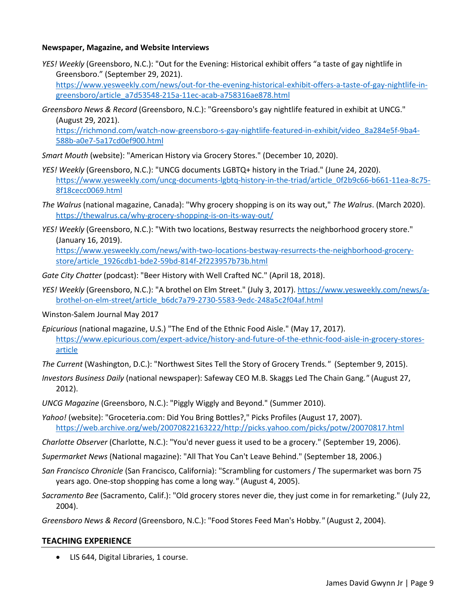#### **Newspaper, Magazine, and Website Interviews**

- *YES! Weekly* (Greensboro, N.C.): "Out for the Evening: Historical exhibit offers "a taste of gay nightlife in Greensboro." (September 29, 2021). [https://www.yesweekly.com/news/out-for-the-evening-historical-exhibit-offers-a-taste-of-gay-nightlife-in](https://www.yesweekly.com/news/out-for-the-evening-historical-exhibit-offers-a-taste-of-gay-nightlife-in-greensboro/article_a7d53548-215a-11ec-acab-a758316ae878.html)[greensboro/article\\_a7d53548-215a-11ec-acab-a758316ae878.html](https://www.yesweekly.com/news/out-for-the-evening-historical-exhibit-offers-a-taste-of-gay-nightlife-in-greensboro/article_a7d53548-215a-11ec-acab-a758316ae878.html)
- *Greensboro News & Record* (Greensboro, N.C.): "Greensboro's gay nightlife featured in exhibit at UNCG." (August 29, 2021). [https://richmond.com/watch-now-greensboro-s-gay-nightlife-featured-in-exhibit/video\\_8a284e5f-9ba4-](https://richmond.com/watch-now-greensboro-s-gay-nightlife-featured-in-exhibit/video_8a284e5f-9ba4-588b-a0e7-5a17cd0ef900.html) [588b-a0e7-5a17cd0ef900.html](https://richmond.com/watch-now-greensboro-s-gay-nightlife-featured-in-exhibit/video_8a284e5f-9ba4-588b-a0e7-5a17cd0ef900.html)

*Smart Mouth* (website): "American History via Grocery Stores." (December 10, 2020).

- *YES! Weekly* (Greensboro, N.C.): "UNCG documents LGBTQ+ history in the Triad." (June 24, 2020). [https://www.yesweekly.com/uncg-documents-lgbtq-history-in-the-triad/article\\_0f2b9c66-b661-11ea-8c75-](https://www.yesweekly.com/uncg-documents-lgbtq-history-in-the-triad/article_0f2b9c66-b661-11ea-8c75-8f18cecc0069.html) [8f18cecc0069.html](https://www.yesweekly.com/uncg-documents-lgbtq-history-in-the-triad/article_0f2b9c66-b661-11ea-8c75-8f18cecc0069.html)
- *The Walrus* (national magazine, Canada): "Why grocery shopping is on its way out," *The Walrus*. (March 2020). <https://thewalrus.ca/why-grocery-shopping-is-on-its-way-out/>
- *YES! Weekly* (Greensboro, N.C.): "With two locations, Bestway resurrects the neighborhood grocery store." (January 16, 2019). [https://www.yesweekly.com/news/with-two-locations-bestway-resurrects-the-neighborhood-grocery](https://www.yesweekly.com/news/with-two-locations-bestway-resurrects-the-neighborhood-grocery-store/article_1926cdb1-bde2-59bd-814f-2f223957b73b.html)[store/article\\_1926cdb1-bde2-59bd-814f-2f223957b73b.html](https://www.yesweekly.com/news/with-two-locations-bestway-resurrects-the-neighborhood-grocery-store/article_1926cdb1-bde2-59bd-814f-2f223957b73b.html)
- *Gate City Chatter* (podcast): "Beer History with Well Crafted NC." (April 18, 2018).
- *YES! Weekly* (Greensboro, N.C.): "A brothel on Elm Street." (July 3, 2017). [https://www.yesweekly.com/news/a](https://www.yesweekly.com/news/a-brothel-on-elm-street/article_b6dc7a79-2730-5583-9edc-248a5c2f04af.html)[brothel-on-elm-street/article\\_b6dc7a79-2730-5583-9edc-248a5c2f04af.html](https://www.yesweekly.com/news/a-brothel-on-elm-street/article_b6dc7a79-2730-5583-9edc-248a5c2f04af.html)
- Winston-Salem Journal May 2017
- *Epicurious* (national magazine, U.S.) "The End of the Ethnic Food Aisle." (May 17, 2017). [https://www.epicurious.com/expert-advice/history-and-future-of-the-ethnic-food-aisle-in-grocery-stores](https://www.epicurious.com/expert-advice/history-and-future-of-the-ethnic-food-aisle-in-grocery-stores-article)[article](https://www.epicurious.com/expert-advice/history-and-future-of-the-ethnic-food-aisle-in-grocery-stores-article)
- *The Current* (Washington, D.C.): "Northwest Sites Tell the Story of Grocery Trends*."* (September 9, 2015).
- *Investors Business Daily* (national newspaper): Safeway CEO M.B. Skaggs Led The Chain Gang*."* (August 27, 2012).
- *UNCG Magazine* (Greensboro, N.C.): "Piggly Wiggly and Beyond." (Summer 2010).
- *Yahoo!* (website): "Groceteria.com: Did You Bring Bottles?," Picks Profiles (August 17, 2007). [https://web.archive.org/web/20070822163222/http://picks.yahoo.com/picks/potw/20070817.html](https://web.archive.org/web/20070822163222/http:/picks.yahoo.com/picks/potw/20070817.html)
- *Charlotte Observer* (Charlotte, N.C.): "You'd never guess it used to be a grocery." (September 19, 2006).
- *Supermarket News* (National magazine): "All That You Can't Leave Behind." (September 18, 2006.)
- *San Francisco Chronicle* (San Francisco, California): "Scrambling for customers / The supermarket was born 75 years ago. One-stop shopping has come a long way*."* (August 4, 2005).
- *Sacramento Bee* (Sacramento, Calif.): "Old grocery stores never die, they just come in for remarketing." (July 22, 2004).

*Greensboro News & Record* (Greensboro, N.C.): "Food Stores Feed Man's Hobby*."* (August 2, 2004).

# **TEACHING EXPERIENCE**

• LIS 644, Digital Libraries, 1 course.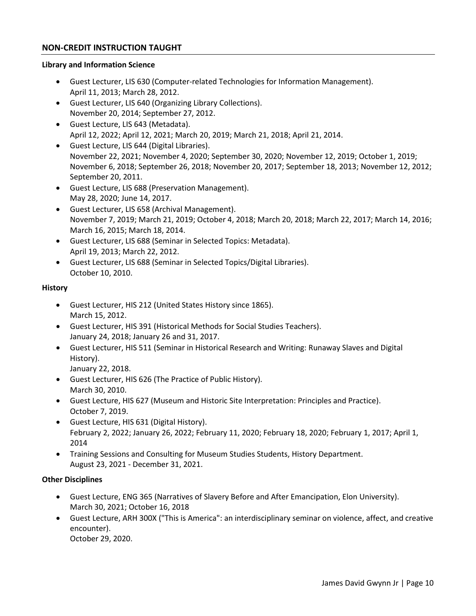# **NON-CREDIT INSTRUCTION TAUGHT**

#### **Library and Information Science**

- Guest Lecturer, LIS 630 (Computer-related Technologies for Information Management). April 11, 2013; March 28, 2012.
- Guest Lecturer, LIS 640 (Organizing Library Collections). November 20, 2014; September 27, 2012.
- Guest Lecture, LIS 643 (Metadata). April 12, 2022; April 12, 2021; March 20, 2019; March 21, 2018; April 21, 2014.
- Guest Lecture, LIS 644 (Digital Libraries). November 22, 2021; November 4, 2020; September 30, 2020; November 12, 2019; October 1, 2019; November 6, 2018; September 26, 2018; November 20, 2017; September 18, 2013; November 12, 2012; September 20, 2011.
- Guest Lecture, LIS 688 (Preservation Management). May 28, 2020; June 14, 2017.
- Guest Lecturer, LIS 658 (Archival Management). November 7, 2019; March 21, 2019; October 4, 2018; March 20, 2018; March 22, 2017; March 14, 2016; March 16, 2015; March 18, 2014.
- Guest Lecturer, LIS 688 (Seminar in Selected Topics: Metadata). April 19, 2013; March 22, 2012.
- Guest Lecturer, LIS 688 (Seminar in Selected Topics/Digital Libraries). October 10, 2010.

# **History**

- Guest Lecturer, HIS 212 (United States History since 1865). March 15, 2012.
- Guest Lecturer, HIS 391 (Historical Methods for Social Studies Teachers). January 24, 2018; January 26 and 31, 2017.
- Guest Lecturer, HIS 511 (Seminar in Historical Research and Writing: Runaway Slaves and Digital History).

January 22, 2018.

- Guest Lecturer, HIS 626 (The Practice of Public History). March 30, 2010.
- Guest Lecture, HIS 627 (Museum and Historic Site Interpretation: Principles and Practice). October 7, 2019.
- Guest Lecture, HIS 631 (Digital History). February 2, 2022; January 26, 2022; February 11, 2020; February 18, 2020; February 1, 2017; April 1, 2014
- Training Sessions and Consulting for Museum Studies Students, History Department. August 23, 2021 - December 31, 2021.

# **Other Disciplines**

- Guest Lecture, ENG 365 (Narratives of Slavery Before and After Emancipation, Elon University). March 30, 2021; October 16, 2018
- Guest Lecture, ARH 300X ("This is America": an interdisciplinary seminar on violence, affect, and creative encounter). October 29, 2020.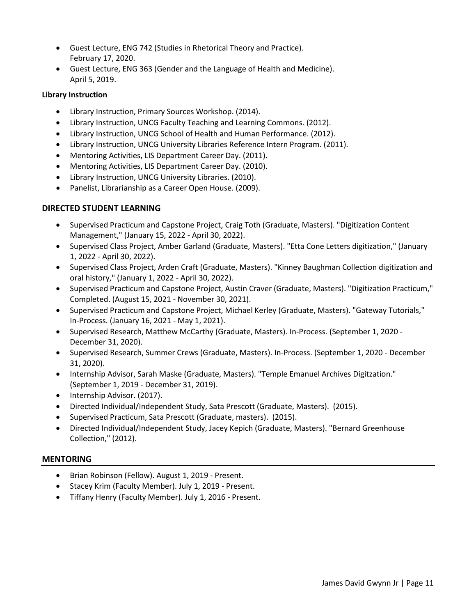- Guest Lecture, ENG 742 (Studies in Rhetorical Theory and Practice). February 17, 2020.
- Guest Lecture, ENG 363 (Gender and the Language of Health and Medicine). April 5, 2019.

# **Library Instruction**

- Library Instruction, Primary Sources Workshop. (2014).
- Library Instruction, UNCG Faculty Teaching and Learning Commons. (2012).
- Library Instruction, UNCG School of Health and Human Performance. (2012).
- Library Instruction, UNCG University Libraries Reference Intern Program. (2011).
- Mentoring Activities, LIS Department Career Day. (2011).
- Mentoring Activities, LIS Department Career Day. (2010).
- Library Instruction, UNCG University Libraries. (2010).
- Panelist, Librarianship as a Career Open House. (2009).

# **DIRECTED STUDENT LEARNING**

- Supervised Practicum and Capstone Project, Craig Toth (Graduate, Masters). "Digitization Content Management," (January 15, 2022 - April 30, 2022).
- Supervised Class Project, Amber Garland (Graduate, Masters). "Etta Cone Letters digitization," (January 1, 2022 - April 30, 2022).
- Supervised Class Project, Arden Craft (Graduate, Masters). "Kinney Baughman Collection digitization and oral history," (January 1, 2022 - April 30, 2022).
- Supervised Practicum and Capstone Project, Austin Craver (Graduate, Masters). "Digitization Practicum," Completed. (August 15, 2021 - November 30, 2021).
- Supervised Practicum and Capstone Project, Michael Kerley (Graduate, Masters). "Gateway Tutorials," In-Process. (January 16, 2021 - May 1, 2021).
- Supervised Research, Matthew McCarthy (Graduate, Masters). In-Process. (September 1, 2020 December 31, 2020).
- Supervised Research, Summer Crews (Graduate, Masters). In-Process. (September 1, 2020 December 31, 2020).
- Internship Advisor, Sarah Maske (Graduate, Masters). "Temple Emanuel Archives Digitzation." (September 1, 2019 - December 31, 2019).
- Internship Advisor. (2017).
- Directed Individual/Independent Study, Sata Prescott (Graduate, Masters). (2015).
- Supervised Practicum, Sata Prescott (Graduate, masters). (2015).
- Directed Individual/Independent Study, Jacey Kepich (Graduate, Masters). "Bernard Greenhouse Collection," (2012).

# **MENTORING**

- Brian Robinson (Fellow). August 1, 2019 Present.
- Stacey Krim (Faculty Member). July 1, 2019 Present.
- Tiffany Henry (Faculty Member). July 1, 2016 Present.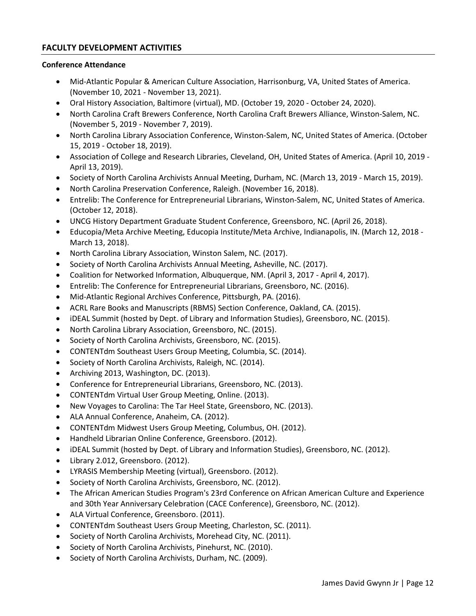# **FACULTY DEVELOPMENT ACTIVITIES**

#### **Conference Attendance**

- Mid-Atlantic Popular & American Culture Association, Harrisonburg, VA, United States of America. (November 10, 2021 - November 13, 2021).
- Oral History Association, Baltimore (virtual), MD. (October 19, 2020 October 24, 2020).
- North Carolina Craft Brewers Conference, North Carolina Craft Brewers Alliance, Winston-Salem, NC. (November 5, 2019 - November 7, 2019).
- North Carolina Library Association Conference, Winston-Salem, NC, United States of America. (October 15, 2019 - October 18, 2019).
- Association of College and Research Libraries, Cleveland, OH, United States of America. (April 10, 2019 April 13, 2019).
- Society of North Carolina Archivists Annual Meeting, Durham, NC. (March 13, 2019 March 15, 2019).
- North Carolina Preservation Conference, Raleigh. (November 16, 2018).
- Entrelib: The Conference for Entrepreneurial Librarians, Winston-Salem, NC, United States of America. (October 12, 2018).
- UNCG History Department Graduate Student Conference, Greensboro, NC. (April 26, 2018).
- Educopia/Meta Archive Meeting, Educopia Institute/Meta Archive, Indianapolis, IN. (March 12, 2018 March 13, 2018).
- North Carolina Library Association, Winston Salem, NC. (2017).
- Society of North Carolina Archivists Annual Meeting, Asheville, NC. (2017).
- Coalition for Networked Information, Albuquerque, NM. (April 3, 2017 April 4, 2017).
- Entrelib: The Conference for Entrepreneurial Librarians, Greensboro, NC. (2016).
- Mid-Atlantic Regional Archives Conference, Pittsburgh, PA. (2016).
- ACRL Rare Books and Manuscripts (RBMS) Section Conference, Oakland, CA. (2015).
- iDEAL Summit (hosted by Dept. of Library and Information Studies), Greensboro, NC. (2015).
- North Carolina Library Association, Greensboro, NC. (2015).
- Society of North Carolina Archivists, Greensboro, NC. (2015).
- CONTENTdm Southeast Users Group Meeting, Columbia, SC. (2014).
- Society of North Carolina Archivists, Raleigh, NC. (2014).
- Archiving 2013, Washington, DC. (2013).
- Conference for Entrepreneurial Librarians, Greensboro, NC. (2013).
- CONTENTdm Virtual User Group Meeting, Online. (2013).
- New Voyages to Carolina: The Tar Heel State, Greensboro, NC. (2013).
- ALA Annual Conference, Anaheim, CA. (2012).
- CONTENTdm Midwest Users Group Meeting, Columbus, OH. (2012).
- Handheld Librarian Online Conference, Greensboro. (2012).
- iDEAL Summit (hosted by Dept. of Library and Information Studies), Greensboro, NC. (2012).
- Library 2.012, Greensboro. (2012).
- LYRASIS Membership Meeting (virtual), Greensboro. (2012).
- Society of North Carolina Archivists, Greensboro, NC. (2012).
- The African American Studies Program's 23rd Conference on African American Culture and Experience and 30th Year Anniversary Celebration (CACE Conference), Greensboro, NC. (2012).
- ALA Virtual Conference, Greensboro. (2011).
- CONTENTdm Southeast Users Group Meeting, Charleston, SC. (2011).
- Society of North Carolina Archivists, Morehead City, NC. (2011).
- Society of North Carolina Archivists, Pinehurst, NC. (2010).
- Society of North Carolina Archivists, Durham, NC. (2009).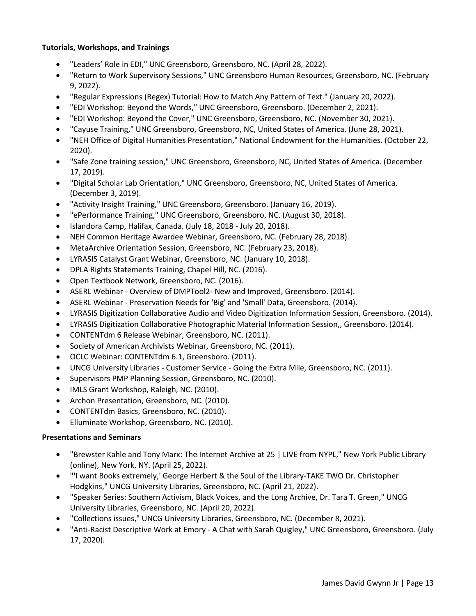# **Tutorials, Workshops, and Trainings**

- "Leaders' Role in EDI," UNC Greensboro, Greensboro, NC. (April 28, 2022).
- "Return to Work Supervisory Sessions," UNC Greensboro Human Resources, Greensboro, NC. (February 9, 2022).
- "Regular Expressions (Regex) Tutorial: How to Match Any Pattern of Text." (January 20, 2022).
- "EDI Workshop: Beyond the Words," UNC Greensboro, Greensboro. (December 2, 2021).
- "EDI Workshop: Beyond the Cover," UNC Greensboro, Greensboro, NC. (November 30, 2021).
- "Cayuse Training," UNC Greensboro, Greensboro, NC, United States of America. (June 28, 2021).
- "NEH Office of Digital Humanities Presentation," National Endowment for the Humanities. (October 22, 2020).
- "Safe Zone training session," UNC Greensboro, Greensboro, NC, United States of America. (December 17, 2019).
- "Digital Scholar Lab Orientation," UNC Greensboro, Greensboro, NC, United States of America. (December 3, 2019).
- "Activity Insight Training," UNC Greensboro, Greensboro. (January 16, 2019).
- "ePerformance Training," UNC Greensboro, Greensboro, NC. (August 30, 2018).
- Islandora Camp, Halifax, Canada. (July 18, 2018 July 20, 2018).
- NEH Common Heritage Awardee Webinar, Greensboro, NC. (February 28, 2018).
- MetaArchive Orientation Session, Greensboro, NC. (February 23, 2018).
- LYRASIS Catalyst Grant Webinar, Greensboro, NC. (January 10, 2018).
- DPLA Rights Statements Training, Chapel Hill, NC. (2016).
- Open Textbook Network, Greensboro, NC. (2016).
- ASERL Webinar Overview of DMPTool2- New and Improved, Greensboro. (2014).
- ASERL Webinar Preservation Needs for 'Big' and 'Small' Data, Greensboro. (2014).
- LYRASIS Digitization Collaborative Audio and Video Digitization Information Session, Greensboro. (2014).
- LYRASIS Digitization Collaborative Photographic Material Information Session,, Greensboro. (2014).
- CONTENTdm 6 Release Webinar, Greensboro, NC. (2011).
- Society of American Archivists Webinar, Greensboro, NC. (2011).
- OCLC Webinar: CONTENTdm 6.1, Greensboro. (2011).
- UNCG University Libraries Customer Service Going the Extra Mile, Greensboro, NC. (2011).
- Supervisors PMP Planning Session, Greensboro, NC. (2010).
- IMLS Grant Workshop, Raleigh, NC. (2010).
- Archon Presentation, Greensboro, NC. (2010).
- CONTENTdm Basics, Greensboro, NC. (2010).
- Elluminate Workshop, Greensboro, NC. (2010).

# **Presentations and Seminars**

- "Brewster Kahle and Tony Marx: The Internet Archive at 25 | LIVE from NYPL," New York Public Library (online), New York, NY. (April 25, 2022).
- "'I want Books extremely,' George Herbert & the Soul of the Library-TAKE TWO Dr. Christopher Hodgkins," UNCG University Libraries, Greensboro, NC. (April 21, 2022).
- "Speaker Series: Southern Activism, Black Voices, and the Long Archive, Dr. Tara T. Green," UNCG University Libraries, Greensboro, NC. (April 20, 2022).
- "Collections issues," UNCG University Libraries, Greensboro, NC. (December 8, 2021).
- "Anti-Racist Descriptive Work at Emory A Chat with Sarah Quigley," UNC Greensboro, Greensboro. (July 17, 2020).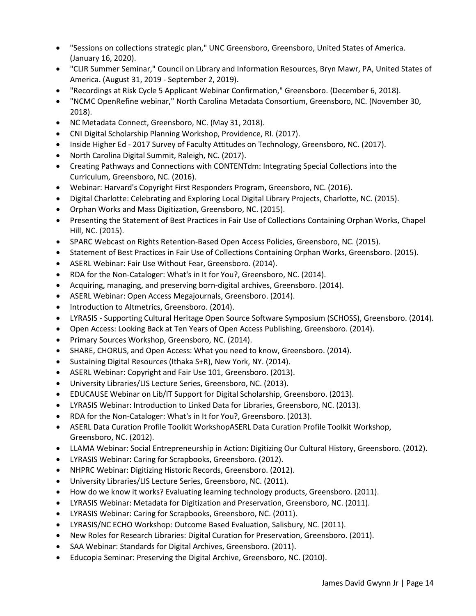- "Sessions on collections strategic plan," UNC Greensboro, Greensboro, United States of America. (January 16, 2020).
- "CLIR Summer Seminar," Council on Library and Information Resources, Bryn Mawr, PA, United States of America. (August 31, 2019 - September 2, 2019).
- "Recordings at Risk Cycle 5 Applicant Webinar Confirmation," Greensboro. (December 6, 2018).
- "NCMC OpenRefine webinar," North Carolina Metadata Consortium, Greensboro, NC. (November 30, 2018).
- NC Metadata Connect, Greensboro, NC. (May 31, 2018).
- CNI Digital Scholarship Planning Workshop, Providence, RI. (2017).
- Inside Higher Ed 2017 Survey of Faculty Attitudes on Technology, Greensboro, NC. (2017).
- North Carolina Digital Summit, Raleigh, NC. (2017).
- Creating Pathways and Connections with CONTENTdm: Integrating Special Collections into the Curriculum, Greensboro, NC. (2016).
- Webinar: Harvard's Copyright First Responders Program, Greensboro, NC. (2016).
- Digital Charlotte: Celebrating and Exploring Local Digital Library Projects, Charlotte, NC. (2015).
- Orphan Works and Mass Digitization, Greensboro, NC. (2015).
- Presenting the Statement of Best Practices in Fair Use of Collections Containing Orphan Works, Chapel Hill, NC. (2015).
- SPARC Webcast on Rights Retention-Based Open Access Policies, Greensboro, NC. (2015).
- Statement of Best Practices in Fair Use of Collections Containing Orphan Works, Greensboro. (2015).
- ASERL Webinar: Fair Use Without Fear, Greensboro. (2014).
- RDA for the Non-Cataloger: What's in It for You?, Greensboro, NC. (2014).
- Acquiring, managing, and preserving born-digital archives, Greensboro. (2014).
- ASERL Webinar: Open Access Megajournals, Greensboro. (2014).
- Introduction to Altmetrics, Greensboro. (2014).
- LYRASIS Supporting Cultural Heritage Open Source Software Symposium (SCHOSS), Greensboro. (2014).
- Open Access: Looking Back at Ten Years of Open Access Publishing, Greensboro. (2014).
- Primary Sources Workshop, Greensboro, NC. (2014).
- SHARE, CHORUS, and Open Access: What you need to know, Greensboro. (2014).
- Sustaining Digital Resources (Ithaka S+R), New York, NY. (2014).
- ASERL Webinar: Copyright and Fair Use 101, Greensboro. (2013).
- University Libraries/LIS Lecture Series, Greensboro, NC. (2013).
- EDUCAUSE Webinar on Lib/IT Support for Digital Scholarship, Greensboro. (2013).
- LYRASIS Webinar: Introduction to Linked Data for Libraries, Greensboro, NC. (2013).
- RDA for the Non-Cataloger: What's in It for You?, Greensboro. (2013).
- ASERL Data Curation Profile Toolkit WorkshopASERL Data Curation Profile Toolkit Workshop, Greensboro, NC. (2012).
- LLAMA Webinar: Social Entrepreneurship in Action: Digitizing Our Cultural History, Greensboro. (2012).
- LYRASIS Webinar: Caring for Scrapbooks, Greensboro. (2012).
- NHPRC Webinar: Digitizing Historic Records, Greensboro. (2012).
- University Libraries/LIS Lecture Series, Greensboro, NC. (2011).
- How do we know it works? Evaluating learning technology products, Greensboro. (2011).
- LYRASIS Webinar: Metadata for Digitization and Preservation, Greensboro, NC. (2011).
- LYRASIS Webinar: Caring for Scrapbooks, Greensboro, NC. (2011).
- LYRASIS/NC ECHO Workshop: Outcome Based Evaluation, Salisbury, NC. (2011).
- New Roles for Research Libraries: Digital Curation for Preservation, Greensboro. (2011).
- SAA Webinar: Standards for Digital Archives, Greensboro. (2011).
- Educopia Seminar: Preserving the Digital Archive, Greensboro, NC. (2010).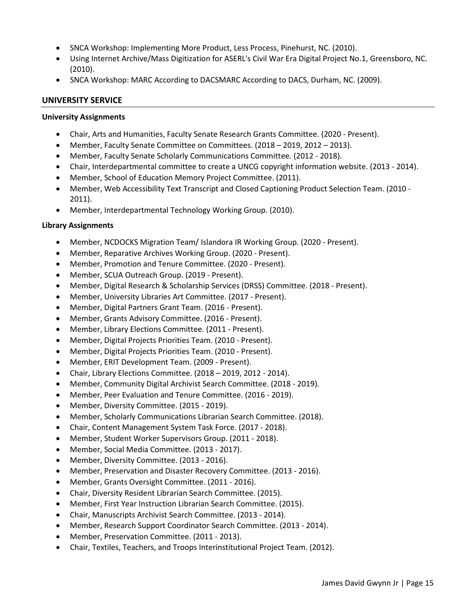- SNCA Workshop: Implementing More Product, Less Process, Pinehurst, NC. (2010).
- Using Internet Archive/Mass Digitization for ASERL's Civil War Era Digital Project No.1, Greensboro, NC. (2010).
- SNCA Workshop: MARC According to DACSMARC According to DACS, Durham, NC. (2009).

# **UNIVERSITY SERVICE**

#### **University Assignments**

- Chair, Arts and Humanities, Faculty Senate Research Grants Committee. (2020 Present).
- Member, Faculty Senate Committee on Committees. (2018 2019, 2012 2013).
- Member, Faculty Senate Scholarly Communications Committee. (2012 2018).
- Chair, Interdepartmental committee to create a UNCG copyright information website. (2013 2014).
- Member, School of Education Memory Project Committee. (2011).
- Member, Web Accessibility Text Transcript and Closed Captioning Product Selection Team. (2010 2011).
- Member, Interdepartmental Technology Working Group. (2010).

# **Library Assignments**

- Member, NCDOCKS Migration Team/ Islandora IR Working Group. (2020 Present).
- Member, Reparative Archives Working Group. (2020 Present).
- Member, Promotion and Tenure Committee. (2020 Present).
- Member, SCUA Outreach Group. (2019 Present).
- Member, Digital Research & Scholarship Services (DRSS) Committee. (2018 Present).
- Member, University Libraries Art Committee. (2017 Present).
- Member, Digital Partners Grant Team. (2016 Present).
- Member, Grants Advisory Committee. (2016 Present).
- Member, Library Elections Committee. (2011 Present).
- Member, Digital Projects Priorities Team. (2010 Present).
- Member, Digital Projects Priorities Team. (2010 Present).
- Member, ERIT Development Team. (2009 Present).
- Chair, Library Elections Committee. (2018 2019, 2012 2014).
- Member, Community Digital Archivist Search Committee. (2018 2019).
- Member, Peer Evaluation and Tenure Committee. (2016 2019).
- Member, Diversity Committee. (2015 2019).
- Member, Scholarly Communications Librarian Search Committee. (2018).
- Chair, Content Management System Task Force. (2017 2018).
- Member, Student Worker Supervisors Group. (2011 2018).
- Member, Social Media Committee. (2013 2017).
- Member, Diversity Committee. (2013 2016).
- Member, Preservation and Disaster Recovery Committee. (2013 2016).
- Member, Grants Oversight Committee. (2011 2016).
- Chair, Diversity Resident Librarian Search Committee. (2015).
- Member, First Year Instruction Librarian Search Committee. (2015).
- Chair, Manuscripts Archivist Search Committee. (2013 2014).
- Member, Research Support Coordinator Search Committee. (2013 2014).
- Member, Preservation Committee. (2011 2013).
- Chair, Textiles, Teachers, and Troops Interinstitutional Project Team. (2012).